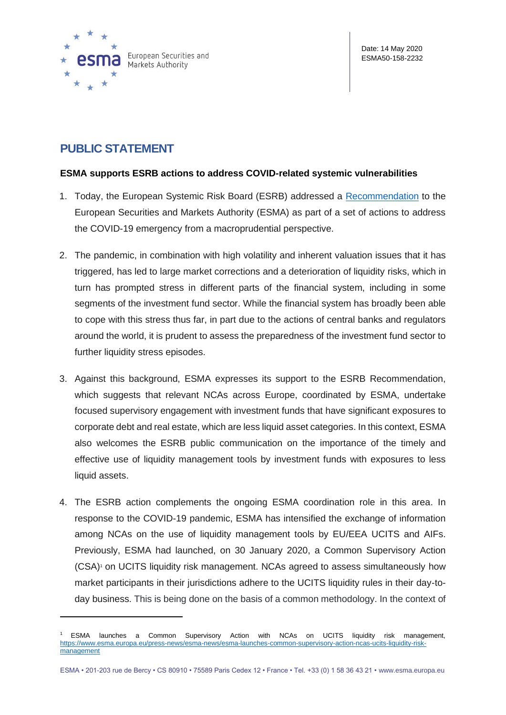

## **PUBLIC STATEMENT**

## **ESMA supports ESRB actions to address COVID-related systemic vulnerabilities**

- 1. Today, the European Systemic Risk Board (ESRB) addressed a [Recommendation](https://www.esrb.europa.eu/pub/pdf/recommendations/esrb.recommendation200514_ESRB_on_liquidity_risks_in_investment_funds~4a3972a25d.en.pdf) to the European Securities and Markets Authority (ESMA) as part of a set of actions to address the COVID-19 emergency from a macroprudential perspective.
- 2. The pandemic, in combination with high volatility and inherent valuation issues that it has triggered, has led to large market corrections and a deterioration of liquidity risks, which in turn has prompted stress in different parts of the financial system, including in some segments of the investment fund sector. While the financial system has broadly been able to cope with this stress thus far, in part due to the actions of central banks and regulators around the world, it is prudent to assess the preparedness of the investment fund sector to further liquidity stress episodes.
- 3. Against this background, ESMA expresses its support to the ESRB Recommendation, which suggests that relevant NCAs across Europe, coordinated by ESMA, undertake focused supervisory engagement with investment funds that have significant exposures to corporate debt and real estate, which are less liquid asset categories. In this context, ESMA also welcomes the ESRB public communication on the importance of the timely and effective use of liquidity management tools by investment funds with exposures to less liquid assets.
- 4. The ESRB action complements the ongoing ESMA coordination role in this area. In response to the COVID-19 pandemic, ESMA has intensified the exchange of information among NCAs on the use of liquidity management tools by EU/EEA UCITS and AIFs. Previously, ESMA had launched, on 30 January 2020, a Common Supervisory Action (CSA)<sup>1</sup> on UCITS liquidity risk management. NCAs agreed to assess simultaneously how market participants in their jurisdictions adhere to the UCITS liquidity rules in their day-today business. This is being done on the basis of a common methodology. In the context of

<sup>1</sup> ESMA launches a Common Supervisory Action with NCAs on UCITS liquidity risk management, [https://www.esma.europa.eu/press-news/esma-news/esma-launches-common-supervisory-action-ncas-ucits-liquidity-risk](https://www.esma.europa.eu/press-news/esma-news/esma-launches-common-supervisory-action-ncas-ucits-liquidity-risk-management)[management](https://www.esma.europa.eu/press-news/esma-news/esma-launches-common-supervisory-action-ncas-ucits-liquidity-risk-management)